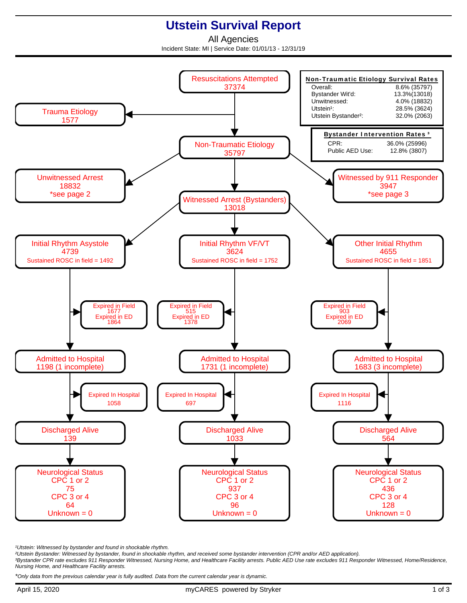## **Utstein Survival Report**

All Agencies Incident State: MI | Service Date: 01/01/13 - 12/31/19



<sup>1</sup>Utstein: Witnessed by bystander and found in shockable rhythm.

²Utstein Bystander: Witnessed by bystander, found in shockable rhythm, and received some bystander intervention (CPR and/or AED application).

³Bystander CPR rate excludes 911 Responder Witnessed, Nursing Home, and Healthcare Facility arrests. Public AED Use rate excludes 911 Responder Witnessed, Home/Residence, Nursing Home, and Healthcare Facility arrests.

\*Only data from the previous calendar year is fully audited. Data from the current calendar year is dynamic.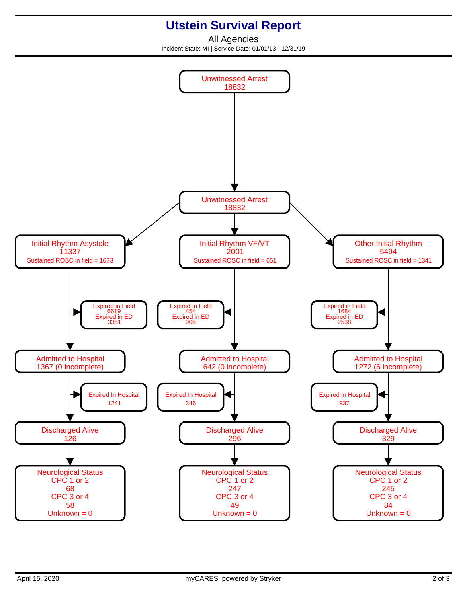## **Utstein Survival Report**

All Agencies Incident State: MI | Service Date: 01/01/13 - 12/31/19